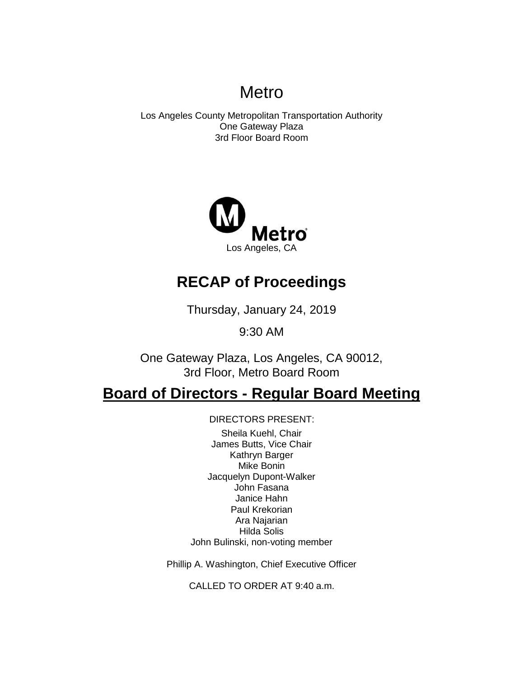# Metro

Los Angeles County Metropolitan Transportation Authority One Gateway Plaza 3rd Floor Board Room



# **RECAP of Proceedings**

Thursday, January 24, 2019

9:30 AM

One Gateway Plaza, Los Angeles, CA 90012, 3rd Floor, Metro Board Room

# **Board of Directors - Regular Board Meeting**

DIRECTORS PRESENT:

Sheila Kuehl, Chair James Butts, Vice Chair Kathryn Barger Mike Bonin Jacquelyn Dupont-Walker John Fasana Janice Hahn Paul Krekorian Ara Najarian Hilda Solis John Bulinski, non-voting member

Phillip A. Washington, Chief Executive Officer

CALLED TO ORDER AT 9:40 a.m.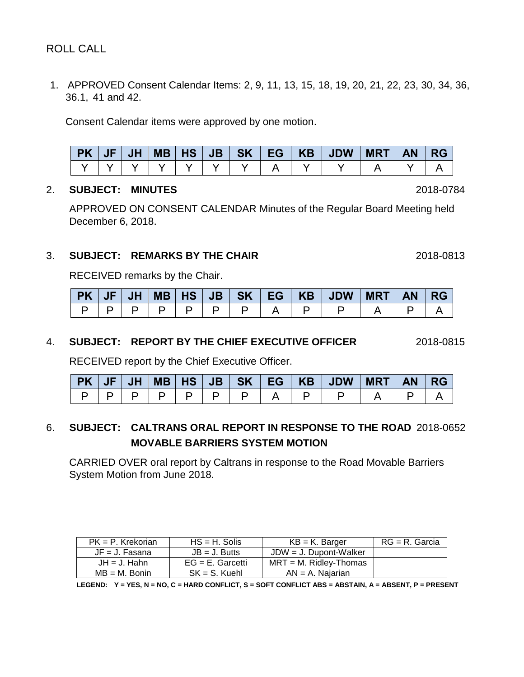ROLL CALL

1. APPROVED Consent Calendar Items: 2, 9, 11, 13, 15, 18, 19, 20, 21, 22, 23, 30, 34, 36, 36.1, 41 and 42.

Consent Calendar items were approved by one motion.

| <b>PK</b> | JH | <b>MB   HS</b> |  |  | JB   SK   EG   KB   JDW | <b>MRT</b> | <b>AN</b> | <b>II RG</b> |
|-----------|----|----------------|--|--|-------------------------|------------|-----------|--------------|
|           |    |                |  |  |                         |            |           |              |

#### 2. **SUBJECT: MINUTES** 2018-0784

APPROVED ON CONSENT CALENDAR Minutes of the Regular Board Meeting held December 6, 2018.

### 3. **SUBJECT: REMARKS BY THE CHAIR** 2018-0813

RECEIVED remarks by the Chair.

| <b>PK</b> | <b>JH</b> |  | $MB$ $HS$ $JB$ |  | SK   EG   KB   JDW   MRT | <b>AN</b> | RG |
|-----------|-----------|--|----------------|--|--------------------------|-----------|----|
|           |           |  |                |  |                          |           |    |

#### 4. **SUBJECT: REPORT BY THE CHIEF EXECUTIVE OFFICER** 2018-0815

RECEIVED report by the Chief Executive Officer.

| <b>PK</b> | JH/ | MB   HS | JB |  | SK   EG   KB   JDW | <b>MRT</b> | <b>AN</b> | <b>RG</b> |
|-----------|-----|---------|----|--|--------------------|------------|-----------|-----------|
|           |     |         |    |  |                    |            |           |           |

## 6. **SUBJECT: CALTRANS ORAL REPORT IN RESPONSE TO THE ROAD** 2018-0652 **MOVABLE BARRIERS SYSTEM MOTION**

CARRIED OVER oral report by Caltrans in response to the Road Movable Barriers System Motion from June 2018.

| $PK = P$ . Krekorian | $HS = H$ . Solis    | $KB = K$ . Barger         | $RG = R$ . Garcia |
|----------------------|---------------------|---------------------------|-------------------|
| JF = J. Fasana       | $JB = J.$ Butts     | $JDW = J$ . Dupont-Walker |                   |
| $JH = J$ . Hahn      | $EG = E$ . Garcetti | $MRT = M$ . Ridley-Thomas |                   |
| $MB = M$ . Bonin     | $SK = S$ . Kuehl    | $AN = A$ . Najarjan       |                   |

**LEGEND: Y = YES, N = NO, C = HARD CONFLICT, S = SOFT CONFLICT ABS = ABSTAIN, A = ABSENT, P = PRESENT**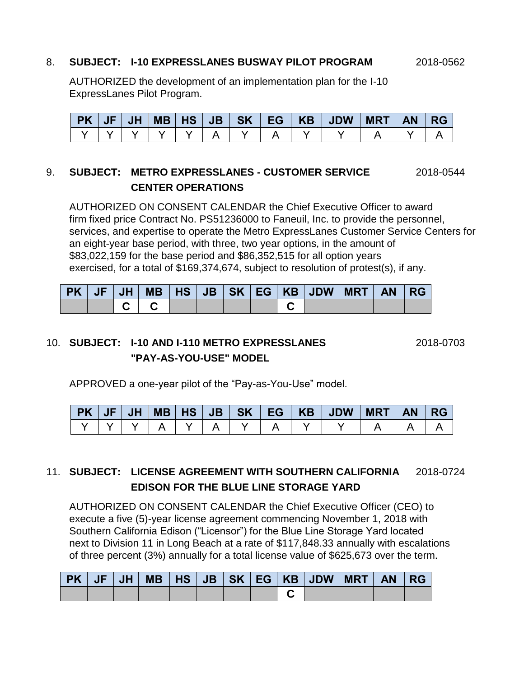#### 8. **SUBJECT: I-10 EXPRESSLANES BUSWAY PILOT PROGRAM** 2018-0562

AUTHORIZED the development of an implementation plan for the I-10 ExpressLanes Pilot Program.

|  |  |  |  | PK   JF   JH   MB   HS   JB   SK   EG   KB   JDW   MRT | AN RG |  |
|--|--|--|--|--------------------------------------------------------|-------|--|
|  |  |  |  |                                                        |       |  |

## 9. **SUBJECT: METRO EXPRESSLANES - CUSTOMER SERVICE** 2018-0544 **CENTER OPERATIONS**

AUTHORIZED ON CONSENT CALENDAR the Chief Executive Officer to award firm fixed price Contract No. PS51236000 to Faneuil, Inc. to provide the personnel, services, and expertise to operate the Metro ExpressLanes Customer Service Centers for an eight-year base period, with three, two year options, in the amount of \$83,022,159 for the base period and \$86,352,515 for all option years exercised, for a total of \$169,374,674, subject to resolution of protest(s), if any.

|  |  |  |  | PK   JF   JH   MB   HS   JB   SK   EG   KB   JDW   MRT   AN   RG |  |  |
|--|--|--|--|------------------------------------------------------------------|--|--|
|  |  |  |  |                                                                  |  |  |

## 10. **SUBJECT: I-10 AND I-110 METRO EXPRESSLANES** 2018-0703 **"PAY-AS-YOU-USE" MODEL**

APPROVED a one-year pilot of the "Pay-as-You-Use" model.

|  |  |  |  | PK   JF   JH   MB   HS   JB   SK   EG   KB   JDW   MRT   AN   RG |  |  |
|--|--|--|--|------------------------------------------------------------------|--|--|
|  |  |  |  |                                                                  |  |  |

## 11. **SUBJECT: LICENSE AGREEMENT WITH SOUTHERN CALIFORNIA** 2018-0724 **EDISON FOR THE BLUE LINE STORAGE YARD**

AUTHORIZED ON CONSENT CALENDAR the Chief Executive Officer (CEO) to execute a five (5)-year license agreement commencing November 1, 2018 with Southern California Edison ("Licensor") for the Blue Line Storage Yard located next to Division 11 in Long Beach at a rate of \$117,848.33 annually with escalations of three percent (3%) annually for a total license value of \$625,673 over the term.

|  |  |  |  |  | $PK$   JF   JH   MB   HS   JB   SK   EG   KB   JDW   MRT   AN | <b>RG</b> |
|--|--|--|--|--|---------------------------------------------------------------|-----------|
|  |  |  |  |  |                                                               |           |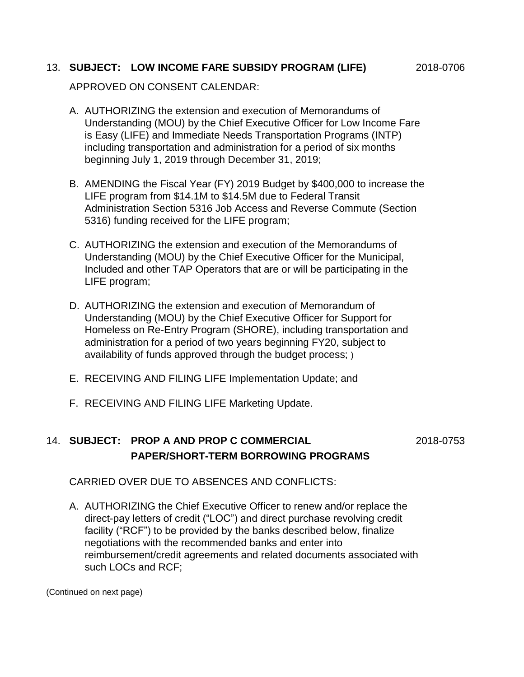### 13. **SUBJECT: LOW INCOME FARE SUBSIDY PROGRAM (LIFE)** 2018-0706

APPROVED ON CONSENT CALENDAR:

- A. AUTHORIZING the extension and execution of Memorandums of Understanding (MOU) by the Chief Executive Officer for Low Income Fare is Easy (LIFE) and Immediate Needs Transportation Programs (INTP) including transportation and administration for a period of six months beginning July 1, 2019 through December 31, 2019;
- B. AMENDING the Fiscal Year (FY) 2019 Budget by \$400,000 to increase the LIFE program from \$14.1M to \$14.5M due to Federal Transit Administration Section 5316 Job Access and Reverse Commute (Section 5316) funding received for the LIFE program;
- C. AUTHORIZING the extension and execution of the Memorandums of Understanding (MOU) by the Chief Executive Officer for the Municipal, Included and other TAP Operators that are or will be participating in the LIFE program;
- D. AUTHORIZING the extension and execution of Memorandum of Understanding (MOU) by the Chief Executive Officer for Support for Homeless on Re-Entry Program (SHORE), including transportation and administration for a period of two years beginning FY20, subject to availability of funds approved through the budget process; )
- E. RECEIVING AND FILING LIFE Implementation Update; and
- F. RECEIVING AND FILING LIFE Marketing Update.

## 14. **SUBJECT: PROP A AND PROP C COMMERCIAL** 2018-0753 **PAPER/SHORT-TERM BORROWING PROGRAMS**

CARRIED OVER DUE TO ABSENCES AND CONFLICTS:

A. AUTHORIZING the Chief Executive Officer to renew and/or replace the direct-pay letters of credit ("LOC") and direct purchase revolving credit facility ("RCF") to be provided by the banks described below, finalize negotiations with the recommended banks and enter into reimbursement/credit agreements and related documents associated with such LOCs and RCF;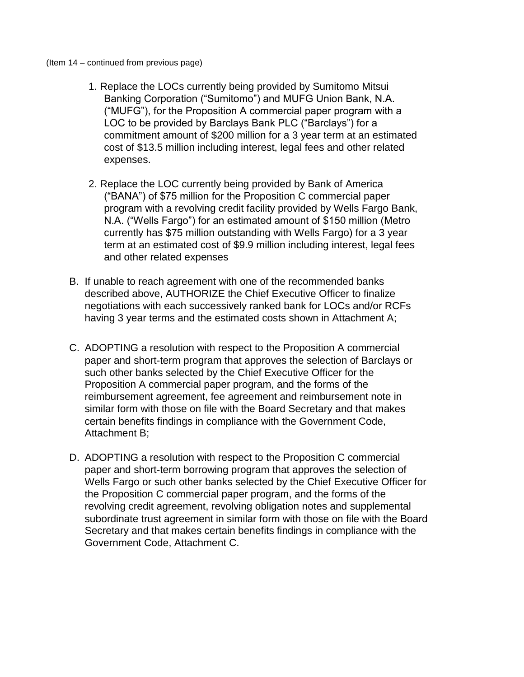#### (Item 14 – continued from previous page)

- 1. Replace the LOCs currently being provided by Sumitomo Mitsui Banking Corporation ("Sumitomo") and MUFG Union Bank, N.A. ("MUFG"), for the Proposition A commercial paper program with a LOC to be provided by Barclays Bank PLC ("Barclays") for a commitment amount of \$200 million for a 3 year term at an estimated cost of \$13.5 million including interest, legal fees and other related expenses.
- 2. Replace the LOC currently being provided by Bank of America ("BANA") of \$75 million for the Proposition C commercial paper program with a revolving credit facility provided by Wells Fargo Bank, N.A. ("Wells Fargo") for an estimated amount of \$150 million (Metro currently has \$75 million outstanding with Wells Fargo) for a 3 year term at an estimated cost of \$9.9 million including interest, legal fees and other related expenses
- B. If unable to reach agreement with one of the recommended banks described above, AUTHORIZE the Chief Executive Officer to finalize negotiations with each successively ranked bank for LOCs and/or RCFs having 3 year terms and the estimated costs shown in Attachment A;
- C. ADOPTING a resolution with respect to the Proposition A commercial paper and short-term program that approves the selection of Barclays or such other banks selected by the Chief Executive Officer for the Proposition A commercial paper program, and the forms of the reimbursement agreement, fee agreement and reimbursement note in similar form with those on file with the Board Secretary and that makes certain benefits findings in compliance with the Government Code, Attachment B;
- D. ADOPTING a resolution with respect to the Proposition C commercial paper and short-term borrowing program that approves the selection of Wells Fargo or such other banks selected by the Chief Executive Officer for the Proposition C commercial paper program, and the forms of the revolving credit agreement, revolving obligation notes and supplemental subordinate trust agreement in similar form with those on file with the Board Secretary and that makes certain benefits findings in compliance with the Government Code, Attachment C.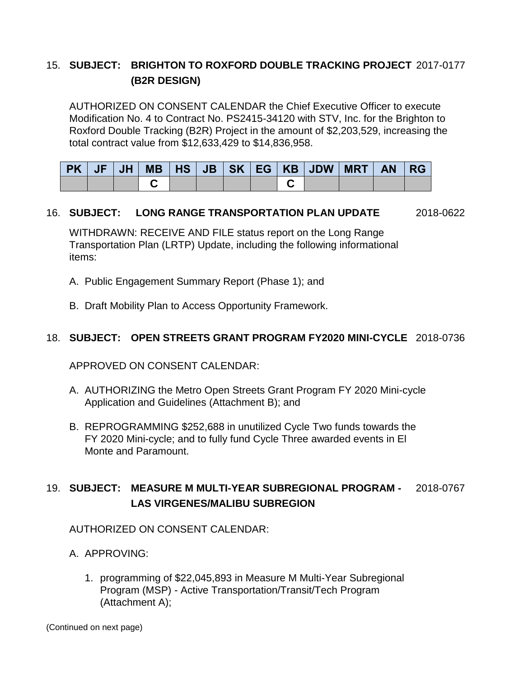## 15. **SUBJECT: BRIGHTON TO ROXFORD DOUBLE TRACKING PROJECT** 2017-0177 **(B2R DESIGN)**

AUTHORIZED ON CONSENT CALENDAR the Chief Executive Officer to execute Modification No. 4 to Contract No. PS2415-34120 with STV, Inc. for the Brighton to Roxford Double Tracking (B2R) Project in the amount of \$2,203,529, increasing the total contract value from \$12,633,429 to \$14,836,958.

|  |  |  |  | PK   JF   JH   MB   HS   JB   SK   EG   KB   JDW   MRT   AN   RG |  |  |
|--|--|--|--|------------------------------------------------------------------|--|--|
|  |  |  |  |                                                                  |  |  |

#### 16. **SUBJECT: LONG RANGE TRANSPORTATION PLAN UPDATE** 2018-0622

WITHDRAWN: RECEIVE AND FILE status report on the Long Range Transportation Plan (LRTP) Update, including the following informational items:

- A. Public Engagement Summary Report (Phase 1); and
- B. Draft Mobility Plan to Access Opportunity Framework.

#### 18. **SUBJECT: OPEN STREETS GRANT PROGRAM FY2020 MINI-CYCLE** 2018-0736

APPROVED ON CONSENT CALENDAR:

- A. AUTHORIZING the Metro Open Streets Grant Program FY 2020 Mini-cycle Application and Guidelines (Attachment B); and
- B. REPROGRAMMING \$252,688 in unutilized Cycle Two funds towards the FY 2020 Mini-cycle; and to fully fund Cycle Three awarded events in El Monte and Paramount.

## 19. **SUBJECT: MEASURE M MULTI-YEAR SUBREGIONAL PROGRAM -** 2018-0767 **LAS VIRGENES/MALIBU SUBREGION**

AUTHORIZED ON CONSENT CALENDAR:

- A. APPROVING:
	- 1. programming of \$22,045,893 in Measure M Multi-Year Subregional Program (MSP) - Active Transportation/Transit/Tech Program (Attachment A);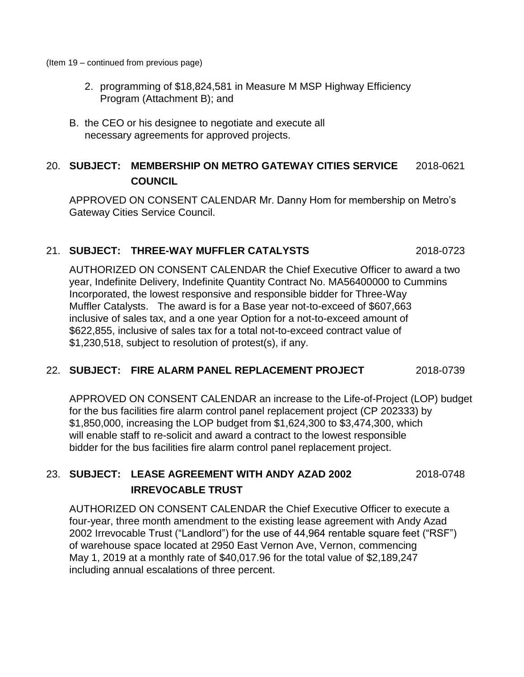(Item 19 – continued from previous page)

- 2. programming of \$18,824,581 in Measure M MSP Highway Efficiency Program (Attachment B); and
- B. the CEO or his designee to negotiate and execute all necessary agreements for approved projects.

## 20. **SUBJECT: MEMBERSHIP ON METRO GATEWAY CITIES SERVICE** 2018-0621 **COUNCIL**

APPROVED ON CONSENT CALENDAR Mr. Danny Hom for membership on Metro's Gateway Cities Service Council.

#### 21. **SUBJECT: THREE-WAY MUFFLER CATALYSTS** 2018-0723

AUTHORIZED ON CONSENT CALENDAR the Chief Executive Officer to award a two year, Indefinite Delivery, Indefinite Quantity Contract No. MA56400000 to Cummins Incorporated, the lowest responsive and responsible bidder for Three-Way Muffler Catalysts. The award is for a Base year not-to-exceed of \$607,663 inclusive of sales tax, and a one year Option for a not-to-exceed amount of \$622,855, inclusive of sales tax for a total not-to-exceed contract value of \$1,230,518, subject to resolution of protest(s), if any.

### 22. **SUBJECT: FIRE ALARM PANEL REPLACEMENT PROJECT** 2018-0739

APPROVED ON CONSENT CALENDAR an increase to the Life-of-Project (LOP) budget for the bus facilities fire alarm control panel replacement project (CP 202333) by \$1,850,000, increasing the LOP budget from \$1,624,300 to \$3,474,300, which will enable staff to re-solicit and award a contract to the lowest responsible bidder for the bus facilities fire alarm control panel replacement project.

## 23. **SUBJECT: LEASE AGREEMENT WITH ANDY AZAD 2002** 2018-0748 **IRREVOCABLE TRUST**

AUTHORIZED ON CONSENT CALENDAR the Chief Executive Officer to execute a four-year, three month amendment to the existing lease agreement with Andy Azad 2002 Irrevocable Trust ("Landlord") for the use of 44,964 rentable square feet ("RSF") of warehouse space located at 2950 East Vernon Ave, Vernon, commencing May 1, 2019 at a monthly rate of \$40,017.96 for the total value of \$2,189,247 including annual escalations of three percent.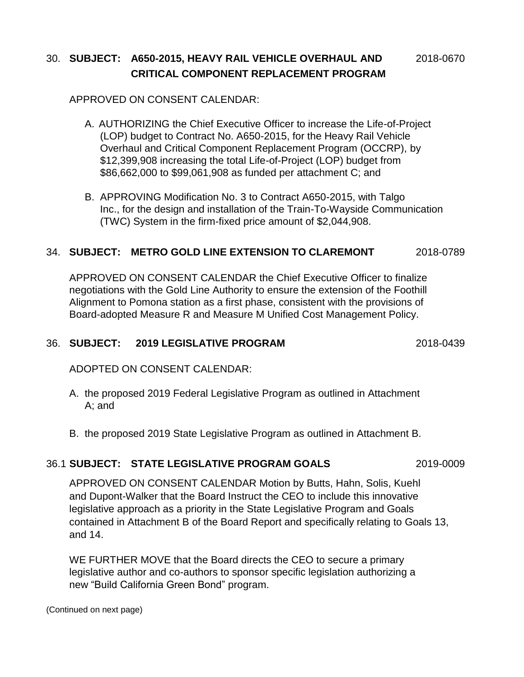## 30. **SUBJECT: A650-2015, HEAVY RAIL VEHICLE OVERHAUL AND** 2018-0670 **CRITICAL COMPONENT REPLACEMENT PROGRAM**

#### APPROVED ON CONSENT CALENDAR:

- A. AUTHORIZING the Chief Executive Officer to increase the Life-of-Project (LOP) budget to Contract No. A650-2015, for the Heavy Rail Vehicle Overhaul and Critical Component Replacement Program (OCCRP), by \$12,399,908 increasing the total Life-of-Project (LOP) budget from \$86,662,000 to \$99,061,908 as funded per attachment C; and
- B. APPROVING Modification No. 3 to Contract A650-2015, with Talgo Inc., for the design and installation of the Train-To-Wayside Communication (TWC) System in the firm-fixed price amount of \$2,044,908.

### 34. **SUBJECT: METRO GOLD LINE EXTENSION TO CLAREMONT** 2018-0789

APPROVED ON CONSENT CALENDAR the Chief Executive Officer to finalize negotiations with the Gold Line Authority to ensure the extension of the Foothill Alignment to Pomona station as a first phase, consistent with the provisions of Board-adopted Measure R and Measure M Unified Cost Management Policy.

#### 36. **SUBJECT: 2019 LEGISLATIVE PROGRAM** 2018-0439

ADOPTED ON CONSENT CALENDAR:

- A. the proposed 2019 Federal Legislative Program as outlined in Attachment A; and
- B. the proposed 2019 State Legislative Program as outlined in Attachment B.

## 36.1 **SUBJECT: STATE LEGISLATIVE PROGRAM GOALS** 2019-0009

APPROVED ON CONSENT CALENDAR Motion by Butts, Hahn, Solis, Kuehl and Dupont-Walker that the Board Instruct the CEO to include this innovative legislative approach as a priority in the State Legislative Program and Goals contained in Attachment B of the Board Report and specifically relating to Goals 13, and 14.

WE FURTHER MOVE that the Board directs the CEO to secure a primary legislative author and co-authors to sponsor specific legislation authorizing a new "Build California Green Bond" program.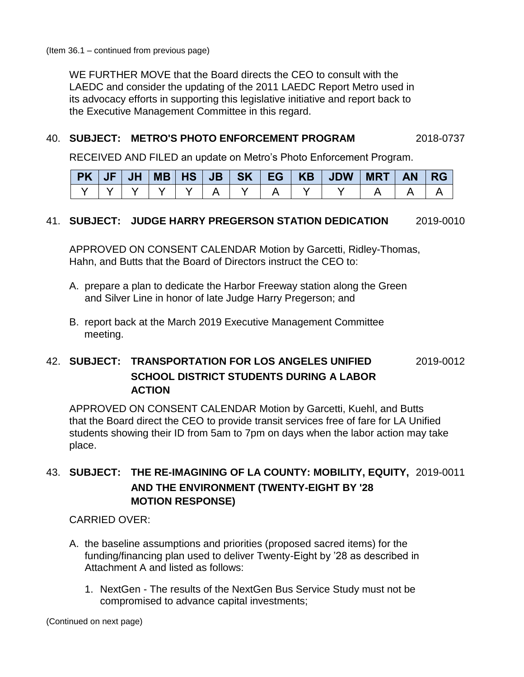WE FURTHER MOVE that the Board directs the CEO to consult with the LAEDC and consider the updating of the 2011 LAEDC Report Metro used in its advocacy efforts in supporting this legislative initiative and report back to the Executive Management Committee in this regard.

#### 40. **SUBJECT: METRO'S PHOTO ENFORCEMENT PROGRAM** 2018-0737

RECEIVED AND FILED an update on Metro's Photo Enforcement Program.

|  |  |  |  | PK   JF   JH   MB   HS   JB   SK   EG   KB   JDW   MRT | $AN$ RG |  |
|--|--|--|--|--------------------------------------------------------|---------|--|
|  |  |  |  |                                                        |         |  |

#### 41. **SUBJECT: JUDGE HARRY PREGERSON STATION DEDICATION** 2019-0010

APPROVED ON CONSENT CALENDAR Motion by Garcetti, Ridley-Thomas, Hahn, and Butts that the Board of Directors instruct the CEO to:

- A. prepare a plan to dedicate the Harbor Freeway station along the Green and Silver Line in honor of late Judge Harry Pregerson; and
- B. report back at the March 2019 Executive Management Committee meeting.

## 42. **SUBJECT: TRANSPORTATION FOR LOS ANGELES UNIFIED** 2019-0012 **SCHOOL DISTRICT STUDENTS DURING A LABOR ACTION**

APPROVED ON CONSENT CALENDAR Motion by Garcetti, Kuehl, and Butts that the Board direct the CEO to provide transit services free of fare for LA Unified students showing their ID from 5am to 7pm on days when the labor action may take place.

## 43. **SUBJECT: THE RE-IMAGINING OF LA COUNTY: MOBILITY, EQUITY,** 2019-0011 **AND THE ENVIRONMENT (TWENTY-EIGHT BY '28 MOTION RESPONSE)**

#### CARRIED OVER:

- A. the baseline assumptions and priorities (proposed sacred items) for the funding/financing plan used to deliver Twenty-Eight by '28 as described in Attachment A and listed as follows:
	- 1. NextGen The results of the NextGen Bus Service Study must not be compromised to advance capital investments;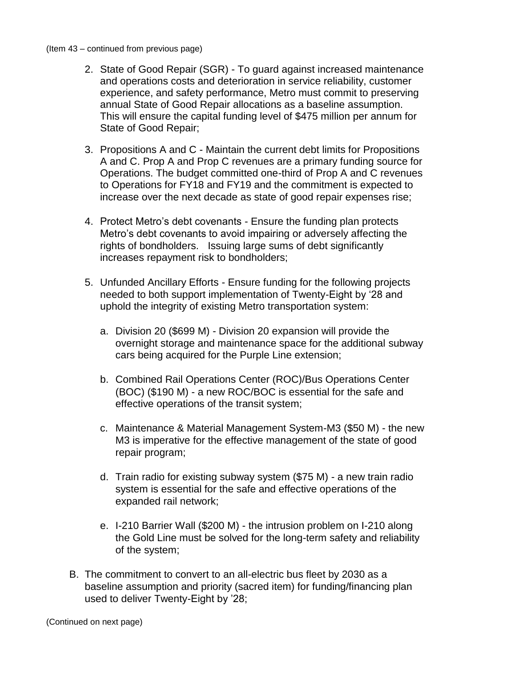#### (Item 43 – continued from previous page)

- 2. State of Good Repair (SGR) To guard against increased maintenance and operations costs and deterioration in service reliability, customer experience, and safety performance, Metro must commit to preserving annual State of Good Repair allocations as a baseline assumption. This will ensure the capital funding level of \$475 million per annum for State of Good Repair;
- 3. Propositions A and C Maintain the current debt limits for Propositions A and C. Prop A and Prop C revenues are a primary funding source for Operations. The budget committed one-third of Prop A and C revenues to Operations for FY18 and FY19 and the commitment is expected to increase over the next decade as state of good repair expenses rise;
- 4. Protect Metro's debt covenants Ensure the funding plan protects Metro's debt covenants to avoid impairing or adversely affecting the rights of bondholders. Issuing large sums of debt significantly increases repayment risk to bondholders;
- 5. Unfunded Ancillary Efforts Ensure funding for the following projects needed to both support implementation of Twenty-Eight by '28 and uphold the integrity of existing Metro transportation system:
	- a. Division 20 (\$699 M) Division 20 expansion will provide the overnight storage and maintenance space for the additional subway cars being acquired for the Purple Line extension;
	- b. Combined Rail Operations Center (ROC)/Bus Operations Center (BOC) (\$190 M) - a new ROC/BOC is essential for the safe and effective operations of the transit system;
	- c. Maintenance & Material Management System-M3 (\$50 M) the new M3 is imperative for the effective management of the state of good repair program;
	- d. Train radio for existing subway system (\$75 M) a new train radio system is essential for the safe and effective operations of the expanded rail network;
	- e. I-210 Barrier Wall (\$200 M) the intrusion problem on I-210 along the Gold Line must be solved for the long-term safety and reliability of the system;
- B. The commitment to convert to an all-electric bus fleet by 2030 as a baseline assumption and priority (sacred item) for funding/financing plan used to deliver Twenty-Eight by '28;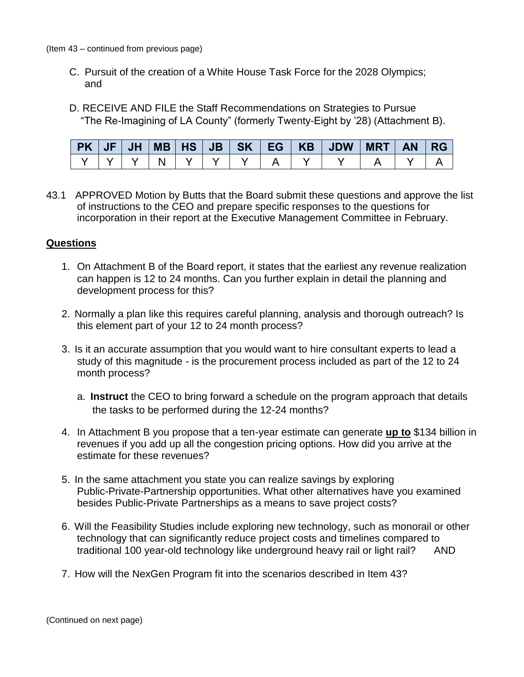- C. Pursuit of the creation of a White House Task Force for the 2028 Olympics; and
- D. RECEIVE AND FILE the Staff Recommendations on Strategies to Pursue "The Re-Imagining of LA County" (formerly Twenty-Eight by '28) (Attachment B).

|  |  |  |  | $PK$   JF   JH   MB   HS   JB   SK   EG   KB   JDW   MRT   AN   RG |  |  |
|--|--|--|--|--------------------------------------------------------------------|--|--|
|  |  |  |  |                                                                    |  |  |

43.1 APPROVED Motion by Butts that the Board submit these questions and approve the list of instructions to the CEO and prepare specific responses to the questions for incorporation in their report at the Executive Management Committee in February.

### **Questions**

- 1. On Attachment B of the Board report, it states that the earliest any revenue realization can happen is 12 to 24 months. Can you further explain in detail the planning and development process for this?
- 2. Normally a plan like this requires careful planning, analysis and thorough outreach? Is this element part of your 12 to 24 month process?
- 3. Is it an accurate assumption that you would want to hire consultant experts to lead a study of this magnitude - is the procurement process included as part of the 12 to 24 month process?
	- a. **Instruct** the CEO to bring forward a schedule on the program approach that details the tasks to be performed during the 12-24 months?
- 4. In Attachment B you propose that a ten-year estimate can generate **up to** \$134 billion in revenues if you add up all the congestion pricing options. How did you arrive at the estimate for these revenues?
- 5. In the same attachment you state you can realize savings by exploring Public-Private-Partnership opportunities. What other alternatives have you examined besides Public-Private Partnerships as a means to save project costs?
- 6. Will the Feasibility Studies include exploring new technology, such as monorail or other technology that can significantly reduce project costs and timelines compared to traditional 100 year-old technology like underground heavy rail or light rail? AND
- 7. How will the NexGen Program fit into the scenarios described in Item 43?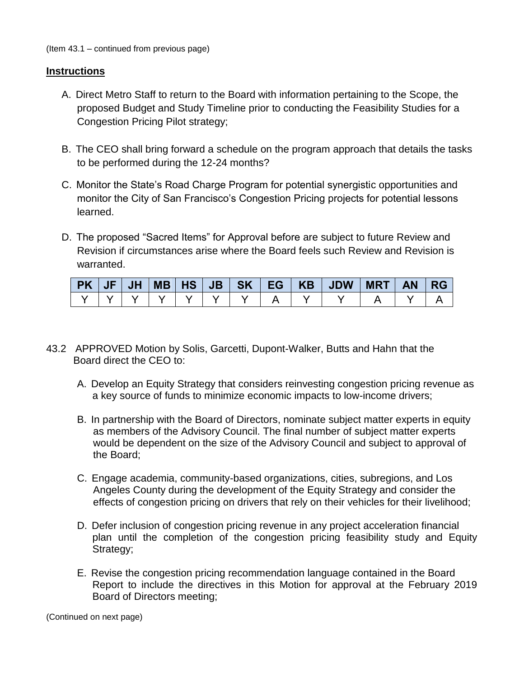#### **Instructions**

- A. Direct Metro Staff to return to the Board with information pertaining to the Scope, the proposed Budget and Study Timeline prior to conducting the Feasibility Studies for a Congestion Pricing Pilot strategy;
- B. The CEO shall bring forward a schedule on the program approach that details the tasks to be performed during the 12-24 months?
- C. Monitor the State's Road Charge Program for potential synergistic opportunities and monitor the City of San Francisco's Congestion Pricing projects for potential lessons learned.
- D. The proposed "Sacred Items" for Approval before are subject to future Review and Revision if circumstances arise where the Board feels such Review and Revision is warranted.

|  |  |  |  | PK   JF   JH   MB   HS   JB   SK   EG   KB   JDW   MRT   AN   RG |  |  |
|--|--|--|--|------------------------------------------------------------------|--|--|
|  |  |  |  |                                                                  |  |  |

- 43.2 APPROVED Motion by Solis, Garcetti, Dupont-Walker, Butts and Hahn that the Board direct the CEO to:
	- A. Develop an Equity Strategy that considers reinvesting congestion pricing revenue as a key source of funds to minimize economic impacts to low-income drivers;
	- B. In partnership with the Board of Directors, nominate subject matter experts in equity as members of the Advisory Council. The final number of subject matter experts would be dependent on the size of the Advisory Council and subject to approval of the Board;
	- C. Engage academia, community-based organizations, cities, subregions, and Los Angeles County during the development of the Equity Strategy and consider the effects of congestion pricing on drivers that rely on their vehicles for their livelihood;
	- D. Defer inclusion of congestion pricing revenue in any project acceleration financial plan until the completion of the congestion pricing feasibility study and Equity Strategy;
	- E. Revise the congestion pricing recommendation language contained in the Board Report to include the directives in this Motion for approval at the February 2019 Board of Directors meeting;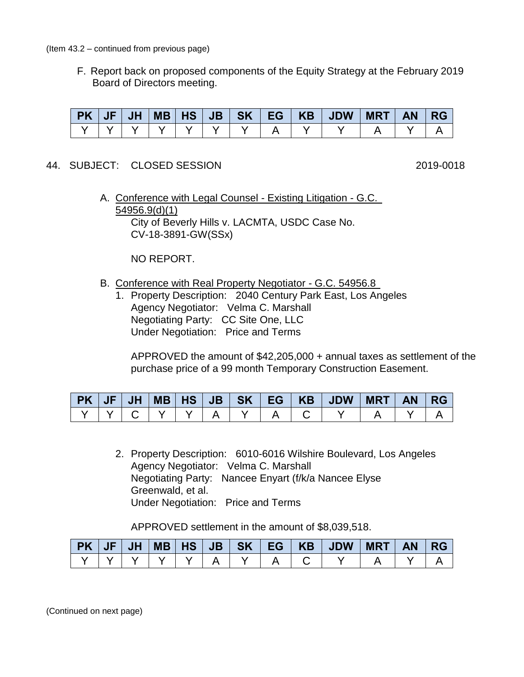(Item 43.2 – continued from previous page)

F. Report back on proposed components of the Equity Strategy at the February 2019 Board of Directors meeting.

|  |  |  |  | PK   JF   JH   MB   HS   JB   SK   EG   KB   JDW   MRT   AN   RG |  |  |
|--|--|--|--|------------------------------------------------------------------|--|--|
|  |  |  |  |                                                                  |  |  |

#### 44. SUBJECT: CLOSED SESSION 2019-0018

A. Conference with Legal Counsel - Existing Litigation - G.C. 54956.9(d)(1) City of Beverly Hills v. LACMTA, USDC Case No. CV-18-3891-GW(SSx)

NO REPORT.

- B. Conference with Real Property Negotiator G.C. 54956.8
	- 1. Property Description: 2040 Century Park East, Los Angeles Agency Negotiator: Velma C. Marshall Negotiating Party: CC Site One, LLC Under Negotiation: Price and Terms

APPROVED the amount of \$42,205,000 + annual taxes as settlement of the purchase price of a 99 month Temporary Construction Easement.

|  |  |  |  | $PK$   JF   JH   MB   HS   JB   SK   EG   KB   JDW   MRT   AN   RG |  |  |
|--|--|--|--|--------------------------------------------------------------------|--|--|
|  |  |  |  |                                                                    |  |  |

2. Property Description: 6010-6016 Wilshire Boulevard, Los Angeles Agency Negotiator: Velma C. Marshall Negotiating Party: Nancee Enyart (f/k/a Nancee Elyse Greenwald, et al. Under Negotiation: Price and Terms

APPROVED settlement in the amount of \$8,039,518.

| $PK$ $JF$ |  |  |  |  |  | AN RG |  |
|-----------|--|--|--|--|--|-------|--|
|           |  |  |  |  |  |       |  |